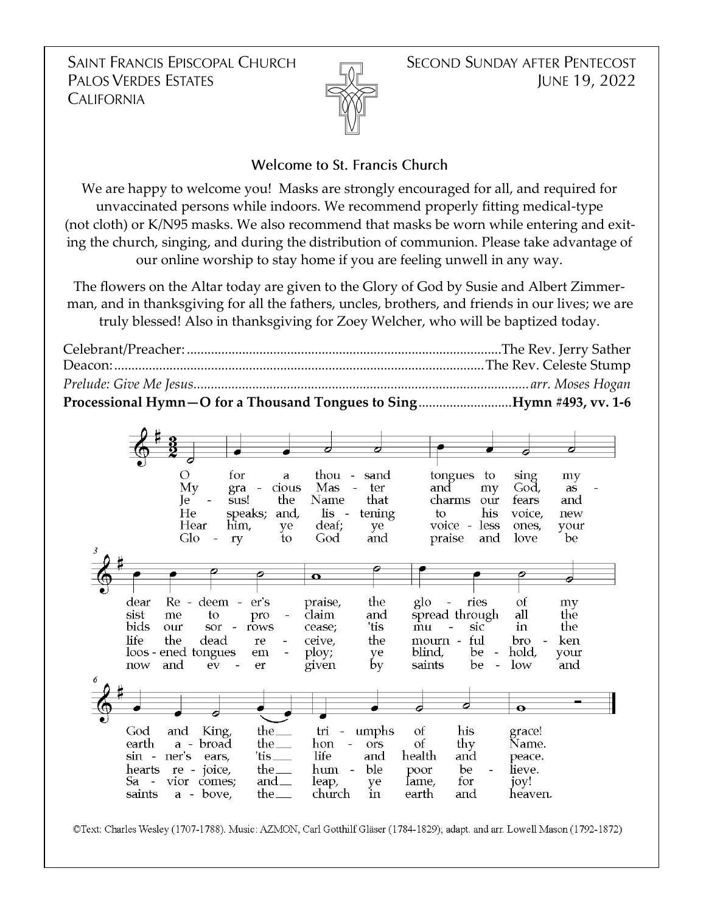**SAINT FRANCIS EPISCOPAL CHURCH** PALOS VERDES ESTATES **CALIFORNIA** 



## **SECOND SUNDAY AFTER PENTECOST JUNE 19, 2022**

## Welcome to St. Francis Church

We are happy to welcome you! Masks are strongly encouraged for all, and required for unvaccinated persons while indoors. We recommend properly fitting medical-type (not cloth) or K/N95 masks. We also recommend that masks be worn while entering and exiting the church, singing, and during the distribution of communion. Please take advantage of our online worship to stay home if you are feeling unwell in any way.

The flowers on the Altar today are given to the Glory of God by Susie and Albert Zimmerman, and in thanksgiving for all the fathers, uncles, brothers, and friends in our lives; we are truly blessed! Also in thanksgiving for Zoey Welcher, who will be baptized today.

Celebrant/Preacher: ...........................................................................................The Rev. Jerry Sather Deacon:...........................................................................................................The Rev. Celeste Stump *Prelude: Give Me Jesus................................................................................................. arr. Moses Hogan* 

**Processional Hymn—O for a Thousand Tongues to Sing**...........................**Hymn #493, vv. 1-6**

|              |                                | ន្ត្                                                                               |                                                         |                                                                                                               |                                                                            |                                                           |                                              |                                                                    |                                                        |                                      |  |
|--------------|--------------------------------|------------------------------------------------------------------------------------|---------------------------------------------------------|---------------------------------------------------------------------------------------------------------------|----------------------------------------------------------------------------|-----------------------------------------------------------|----------------------------------------------|--------------------------------------------------------------------|--------------------------------------------------------|--------------------------------------|--|
|              |                                |                                                                                    |                                                         |                                                                                                               | ℺                                                                          | O                                                         |                                              |                                                                    | Ò                                                      | O                                    |  |
| $\mathbf{3}$ |                                | $\Omega$<br>My<br>Je<br>He<br>Hear<br>Glo                                          | for<br>gra<br>sus!<br>speaks;<br>him,<br>$\sigma$<br>ry | a<br>cious<br>$\sim$<br>the<br>and,<br>ye<br>to                                                               | thou<br>$\sim$<br>Mas<br>Name<br>$\overline{\text{lis}}$ -<br>deaf;<br>God | sand<br>ter<br>that<br>tening<br>ye<br>and                | and<br>to<br>praise                          | tongues<br>to<br>my<br>charms<br>our<br>his<br>voice - less<br>and | sing<br>God,<br>fears<br>voice.<br>ones,<br>love       | my<br>as<br>and<br>new<br>your<br>be |  |
|              |                                |                                                                                    |                                                         |                                                                                                               |                                                                            |                                                           |                                              |                                                                    |                                                        |                                      |  |
|              |                                |                                                                                    |                                                         | Θ                                                                                                             | $\Omega$                                                                   |                                                           |                                              |                                                                    | 0                                                      | O                                    |  |
|              |                                |                                                                                    |                                                         |                                                                                                               |                                                                            |                                                           |                                              |                                                                    |                                                        |                                      |  |
|              | dear                           | Re - deem -                                                                        |                                                         | er's                                                                                                          | praise,                                                                    | the                                                       | glo<br>$\overline{\phantom{0}}$              | ries                                                               | Οf                                                     | my                                   |  |
|              | sist                           | to<br>me                                                                           |                                                         | pro                                                                                                           | claim                                                                      | and                                                       |                                              | spread through                                                     | all                                                    | the                                  |  |
|              | bids                           | our<br><b>SOT</b>                                                                  | Ξ                                                       | rows                                                                                                          | cease;                                                                     | 'tis                                                      | mu                                           | sic<br>a)                                                          | in                                                     | the                                  |  |
|              | life                           | the<br>dead                                                                        |                                                         | re<br>$\blacksquare$                                                                                          | ceive,                                                                     | the                                                       | mourn -                                      | ful                                                                | bro                                                    | ken                                  |  |
|              |                                | loos - ened tongues                                                                |                                                         | em<br>$\equiv$                                                                                                | ploy;                                                                      | ye                                                        | blind,                                       | be<br>$\sim$                                                       | hold,                                                  | your                                 |  |
|              | now                            | and<br>ev                                                                          |                                                         | er                                                                                                            | given                                                                      | by                                                        | saints                                       | be<br>$\frac{1}{2}$                                                | low                                                    | and                                  |  |
| 6            |                                |                                                                                    |                                                         |                                                                                                               |                                                                            |                                                           |                                              |                                                                    |                                                        |                                      |  |
|              |                                |                                                                                    |                                                         |                                                                                                               |                                                                            |                                                           |                                              | Ò                                                                  |                                                        |                                      |  |
|              |                                |                                                                                    |                                                         |                                                                                                               |                                                                            |                                                           | r.                                           |                                                                    | $\bullet$                                              |                                      |  |
|              | God<br>earth<br>Sa -<br>saints | and<br>$a -$<br>sin - ner's<br>ears,<br>hearts re - joice,<br>vior comes;<br>$a -$ | King,<br>broad<br>bove,                                 | the $\equiv$<br>$the$ <sub><math>-</math></sub><br>$'$ tis $\_\_$<br>the $\_\_$<br>and $\equiv$<br>the $\_\_$ | tri<br>÷,<br>hon<br>life<br>hum<br>$\equiv$<br>leap,<br>church             | umphs<br><b>ors</b><br>and<br>ble<br>$_{\rm in}^{\rm ye}$ | of<br>of<br>health<br>poor<br>Iame,<br>earth | his<br>thy<br>and<br>be<br>for<br>and                              | grace!<br>Name.<br>peace.<br>lieve.<br>joy!<br>heaven. |                                      |  |

©Text: Charles Wesley (1707-1788). Music: AZMON, Carl Gotthilf Gläser (1784-1829); adapt. and arr. Lowell Mason (1792-1872)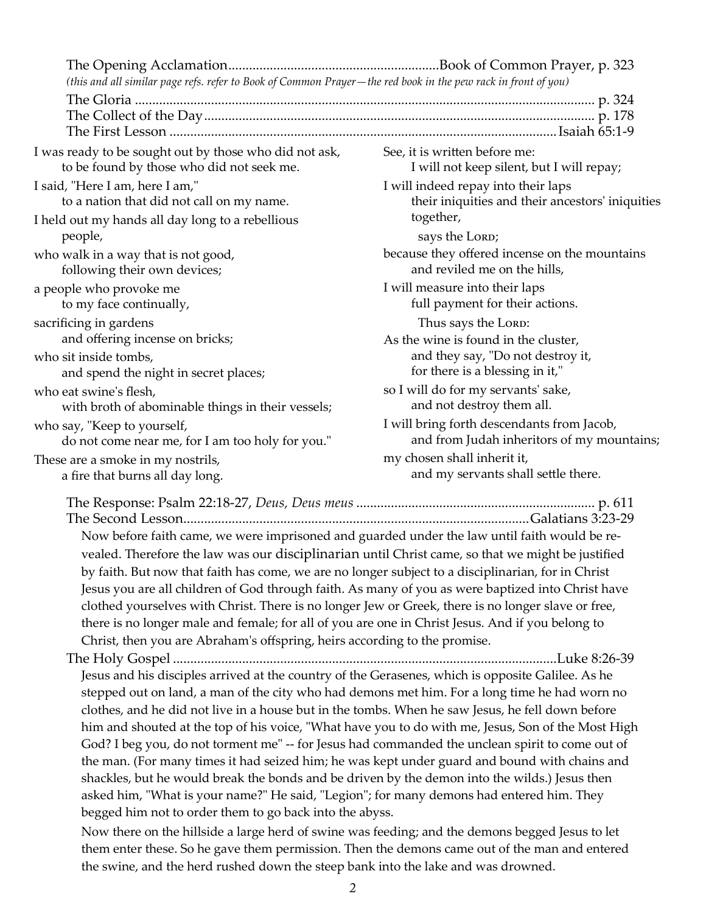| (this and all similar page refs. refer to Book of Common Prayer-the red book in the pew rack in front of you) |                                                  |
|---------------------------------------------------------------------------------------------------------------|--------------------------------------------------|
|                                                                                                               |                                                  |
| I was ready to be sought out by those who did not ask,                                                        | See, it is written before me:                    |
| to be found by those who did not seek me.                                                                     | I will not keep silent, but I will repay;        |
| I said, "Here I am, here I am,"                                                                               | I will indeed repay into their laps              |
| to a nation that did not call on my name.                                                                     | their iniquities and their ancestors' iniquities |
| I held out my hands all day long to a rebellious                                                              | together,                                        |
| people,                                                                                                       | says the LORD;                                   |
| who walk in a way that is not good,                                                                           | because they offered incense on the mountains    |
| following their own devices;                                                                                  | and reviled me on the hills,                     |
| a people who provoke me                                                                                       | I will measure into their laps                   |
| to my face continually,                                                                                       | full payment for their actions.                  |
| sacrificing in gardens                                                                                        | Thus says the LORD:                              |
| and offering incense on bricks;                                                                               | As the wine is found in the cluster,             |
| who sit inside tombs,                                                                                         | and they say, "Do not destroy it,                |
| and spend the night in secret places;                                                                         | for there is a blessing in it,"                  |
| who eat swine's flesh,                                                                                        | so I will do for my servants' sake,              |
| with broth of abominable things in their vessels;                                                             | and not destroy them all.                        |
| who say, "Keep to yourself,                                                                                   | I will bring forth descendants from Jacob,       |
| do not come near me, for I am too holy for you."                                                              | and from Judah inheritors of my mountains;       |
| These are a smoke in my nostrils,                                                                             | my chosen shall inherit it,                      |
| a fire that burns all day long.                                                                               | and my servants shall settle there.              |

The Response: Psalm 22:18-27, *Deus, Deus meus* ..................................................................... p. 611 The Second Lesson....................................................................................................Galatians 3:23-29 Now before faith came, we were imprisoned and guarded under the law until faith would be revealed. Therefore the law was our disciplinarian until Christ came, so that we might be justified by faith. But now that faith has come, we are no longer subject to a disciplinarian, for in Christ Jesus you are all children of God through faith. As many of you as were baptized into Christ have clothed yourselves with Christ. There is no longer Jew or Greek, there is no longer slave or free, there is no longer male and female; for all of you are one in Christ Jesus. And if you belong to

Christ, then you are Abraham's offspring, heirs according to the promise.

The Holy Gospel ...............................................................................................................Luke 8:26-39 Jesus and his disciples arrived at the country of the Gerasenes, which is opposite Galilee. As he stepped out on land, a man of the city who had demons met him. For a long time he had worn no clothes, and he did not live in a house but in the tombs. When he saw Jesus, he fell down before him and shouted at the top of his voice, "What have you to do with me, Jesus, Son of the Most High God? I beg you, do not torment me" -- for Jesus had commanded the unclean spirit to come out of the man. (For many times it had seized him; he was kept under guard and bound with chains and shackles, but he would break the bonds and be driven by the demon into the wilds.) Jesus then asked him, "What is your name?" He said, "Legion"; for many demons had entered him. They begged him not to order them to go back into the abyss.

Now there on the hillside a large herd of swine was feeding; and the demons begged Jesus to let them enter these. So he gave them permission. Then the demons came out of the man and entered the swine, and the herd rushed down the steep bank into the lake and was drowned.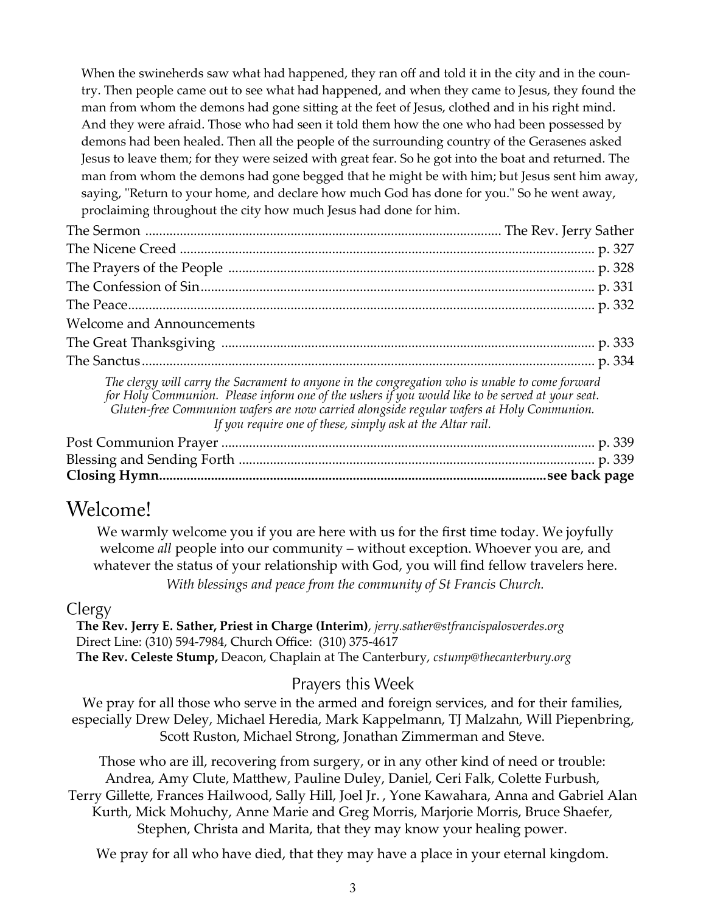When the swineherds saw what had happened, they ran off and told it in the city and in the country. Then people came out to see what had happened, and when they came to Jesus, they found the man from whom the demons had gone sitting at the feet of Jesus, clothed and in his right mind. And they were afraid. Those who had seen it told them how the one who had been possessed by demons had been healed. Then all the people of the surrounding country of the Gerasenes asked Jesus to leave them; for they were seized with great fear. So he got into the boat and returned. The man from whom the demons had gone begged that he might be with him; but Jesus sent him away, saying, "Return to your home, and declare how much God has done for you." So he went away, proclaiming throughout the city how much Jesus had done for him.

| <b>Welcome and Announcements</b>                                                                                                                                                                                                                                                                                                                              |  |
|---------------------------------------------------------------------------------------------------------------------------------------------------------------------------------------------------------------------------------------------------------------------------------------------------------------------------------------------------------------|--|
|                                                                                                                                                                                                                                                                                                                                                               |  |
|                                                                                                                                                                                                                                                                                                                                                               |  |
| The clergy will carry the Sacrament to anyone in the congregation who is unable to come forward<br>for Holy Communion. Please inform one of the ushers if you would like to be served at your seat.<br>Gluten-free Communion wafers are now carried alongside regular wafers at Holy Communion.<br>If you require one of these, simply ask at the Altar rail. |  |
|                                                                                                                                                                                                                                                                                                                                                               |  |

# Welcome!

We warmly welcome you if you are here with us for the first time today. We joyfully welcome *all* people into our community – without exception. Whoever you are, and whatever the status of your relationship with God, you will find fellow travelers here. *With blessings and peace from the community of St Francis Church.*

#### Clergy

**The Rev. Jerry E. Sather, Priest in Charge (Interim)**, *jerry.sather@stfrancispalosverdes.org* Direct Line: (310) 594-7984, Church Office: (310) 375-4617 **The Rev. Celeste Stump,** Deacon, Chaplain at The Canterbury, *[cstump@thecanterbury.org](mailto:cstump@thecanterbury.org)* 

### Prayers this Week

We pray for all those who serve in the armed and foreign services, and for their families, especially Drew Deley, Michael Heredia, Mark Kappelmann, TJ Malzahn, Will Piepenbring, Scott Ruston, Michael Strong, Jonathan Zimmerman and Steve.

Those who are ill, recovering from surgery, or in any other kind of need or trouble: Andrea, Amy Clute, Matthew, Pauline Duley, Daniel, Ceri Falk, Colette Furbush, Terry Gillette, Frances Hailwood, Sally Hill, Joel Jr. , Yone Kawahara, Anna and Gabriel Alan Kurth, Mick Mohuchy, Anne Marie and Greg Morris, Marjorie Morris, Bruce Shaefer, Stephen, Christa and Marita, that they may know your healing power.

We pray for all who have died, that they may have a place in your eternal kingdom.